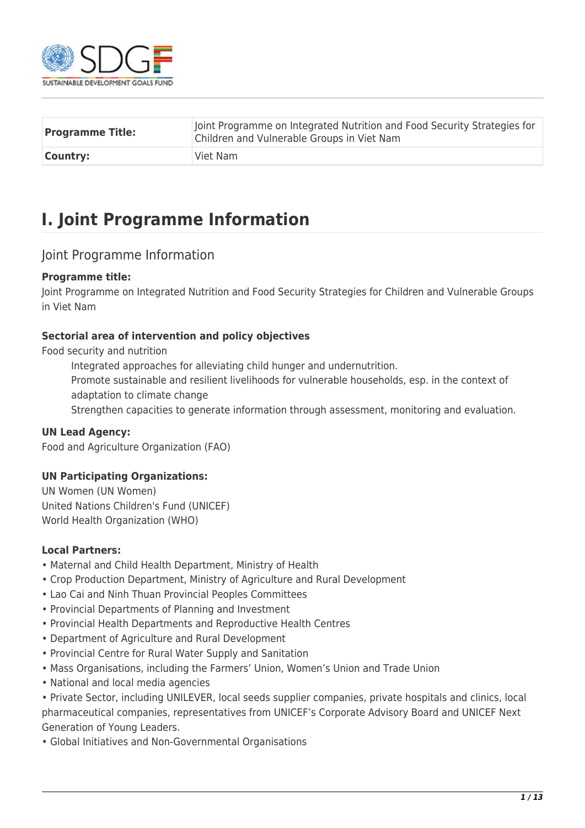

| <b>Programme Title:</b> | Joint Programme on Integrated Nutrition and Food Security Strategies for<br>Children and Vulnerable Groups in Viet Nam |
|-------------------------|------------------------------------------------------------------------------------------------------------------------|
| <b>Country:</b>         | Viet Nam                                                                                                               |

## **I. Joint Programme Information**

#### Joint Programme Information

#### **Programme title:**

Joint Programme on Integrated Nutrition and Food Security Strategies for Children and Vulnerable Groups in Viet Nam

#### **Sectorial area of intervention and policy objectives**

Food security and nutrition

Integrated approaches for alleviating child hunger and undernutrition.

Promote sustainable and resilient livelihoods for vulnerable households, esp. in the context of adaptation to climate change

Strengthen capacities to generate information through assessment, monitoring and evaluation.

#### **UN Lead Agency:**

Food and Agriculture Organization (FAO)

#### **UN Participating Organizations:**

UN Women (UN Women) United Nations Children's Fund (UNICEF) World Health Organization (WHO)

#### **Local Partners:**

- Maternal and Child Health Department, Ministry of Health
- Crop Production Department, Ministry of Agriculture and Rural Development
- Lao Cai and Ninh Thuan Provincial Peoples Committees
- Provincial Departments of Planning and Investment
- Provincial Health Departments and Reproductive Health Centres
- Department of Agriculture and Rural Development
- Provincial Centre for Rural Water Supply and Sanitation
- Mass Organisations, including the Farmers' Union, Women's Union and Trade Union
- National and local media agencies

• Private Sector, including UNILEVER, local seeds supplier companies, private hospitals and clinics, local pharmaceutical companies, representatives from UNICEF's Corporate Advisory Board and UNICEF Next Generation of Young Leaders.

• Global Initiatives and Non-Governmental Organisations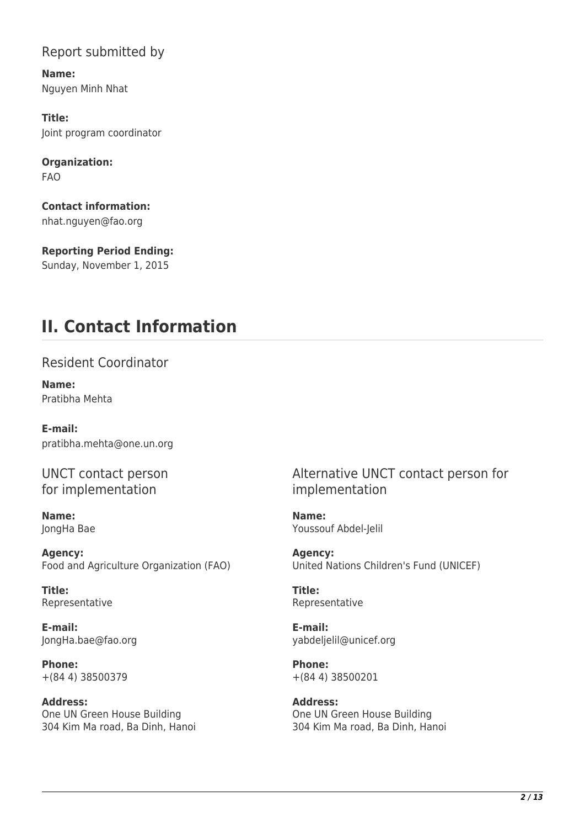### Report submitted by

**Name:**  Nguyen Minh Nhat

**Title:**  Joint program coordinator

**Organization:**  FAO

**Contact information:**  nhat.nguyen@fao.org

**Reporting Period Ending:**  Sunday, November 1, 2015

## **II. Contact Information**

Resident Coordinator

**Name:**  Pratibha Mehta

**E-mail:**  pratibha.mehta@one.un.org

UNCT contact person for implementation

**Name:**  JongHa Bae

**Agency:**  Food and Agriculture Organization (FAO)

**Title:**  Representative

**E-mail:**  JongHa.bae@fao.org

**Phone:**  +(84 4) 38500379

**Address:**  One UN Green House Building 304 Kim Ma road, Ba Dinh, Hanoi Alternative UNCT contact person for implementation

**Name:**  Youssouf Abdel-Jelil

**Agency:**  United Nations Children's Fund (UNICEF)

**Title:**  Representative

**E-mail:**  yabdeljelil@unicef.org

**Phone:**  +(84 4) 38500201

**Address:**  One UN Green House Building 304 Kim Ma road, Ba Dinh, Hanoi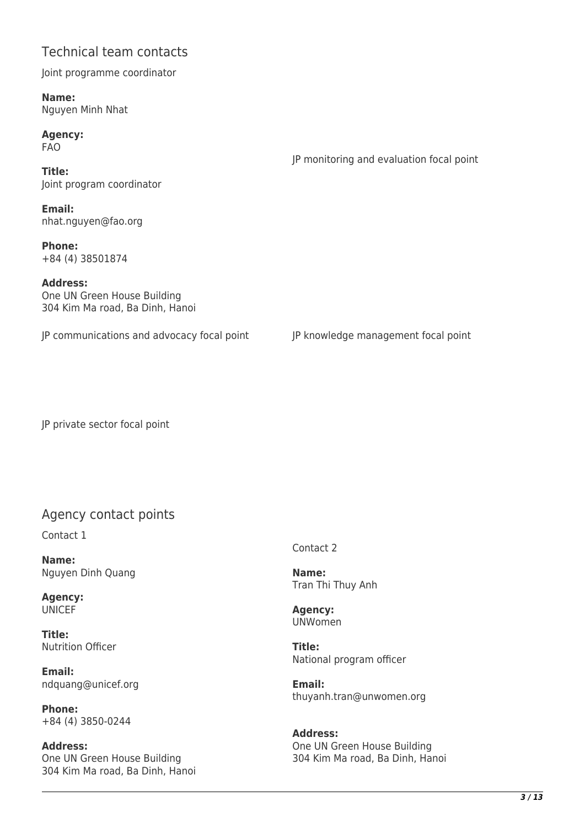### Technical team contacts

Joint programme coordinator

**Name:**  Nguyen Minh Nhat

**Agency:**  FAO

**Title:**  Joint program coordinator

**Email:**  nhat.nguyen@fao.org

**Phone:**  +84 (4) 38501874

**Address:**  One UN Green House Building 304 Kim Ma road, Ba Dinh, Hanoi

JP communications and advocacy focal point JP knowledge management focal point

JP monitoring and evaluation focal point

JP private sector focal point

### Agency contact points

Contact 1

**Name:**  Nguyen Dinh Quang

**Agency: UNICEF** 

**Title:**  Nutrition Officer

**Email:**  ndquang@unicef.org

**Phone:**  +84 (4) 3850-0244

**Address:**  One UN Green House Building 304 Kim Ma road, Ba Dinh, Hanoi Contact 2

**Name:**  Tran Thi Thuy Anh

**Agency:**  UNWomen

**Title:**  National program officer

**Email:**  thuyanh.tran@unwomen.org

**Address:**  One UN Green House Building 304 Kim Ma road, Ba Dinh, Hanoi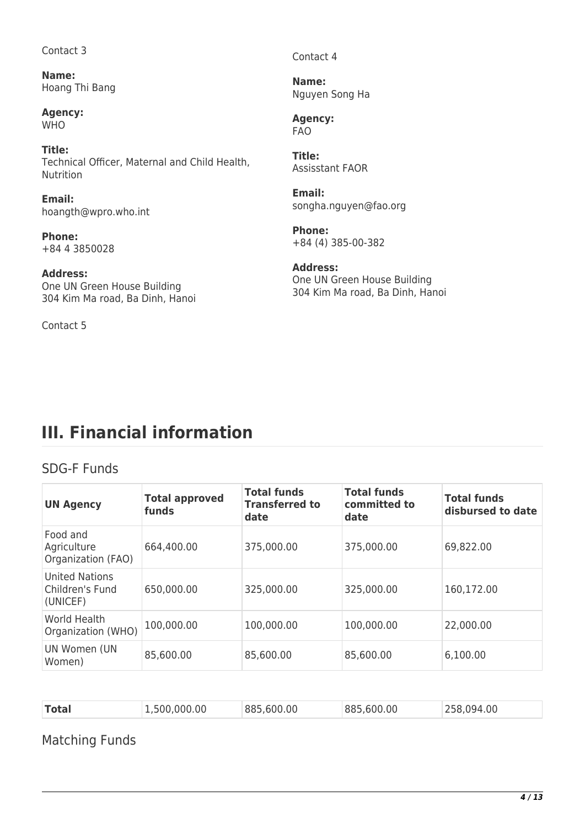Contact 3

**Name:**  Hoang Thi Bang

**Agency:**  WH<sub>O</sub>

**Title:**  Technical Officer, Maternal and Child Health, Nutrition

**Email:**  hoangth@wpro.who.int

**Phone:**  +84 4 3850028

**Address:**  One UN Green House Building 304 Kim Ma road, Ba Dinh, Hanoi

Contact 5

Contact 4

**Name:**  Nguyen Song Ha

**Agency:**  FAO

**Title:**  Assisstant FAOR

**Email:**  songha.nguyen@fao.org

**Phone:**  +84 (4) 385-00-382

**Address:**  One UN Green House Building 304 Kim Ma road, Ba Dinh, Hanoi

## **III. Financial information**

### SDG-F Funds

| <b>UN Agency</b>                                     | <b>Total approved</b><br>funds | <b>Total funds</b><br><b>Transferred to</b><br>date | <b>Total funds</b><br>committed to<br>date | <b>Total funds</b><br>disbursed to date |
|------------------------------------------------------|--------------------------------|-----------------------------------------------------|--------------------------------------------|-----------------------------------------|
| Food and<br>Agriculture<br>Organization (FAO)        | 664,400.00                     | 375,000.00                                          | 375,000.00                                 | 69,822.00                               |
| <b>United Nations</b><br>Children's Fund<br>(UNICEF) | 650,000.00                     | 325,000.00                                          | 325,000.00                                 | 160,172.00                              |
| World Health<br>Organization (WHO)                   | 100,000.00                     | 100,000.00                                          | 100,000.00                                 | 22,000.00                               |
| UN Women (UN<br>Women)                               | 85,600.00                      | 85,600.00                                           | 85,600.00                                  | 6,100.00                                |

| <b>Total</b><br>.600.00<br>885 600 00<br>.500.000.00<br>.00 |
|-------------------------------------------------------------|
|-------------------------------------------------------------|

Matching Funds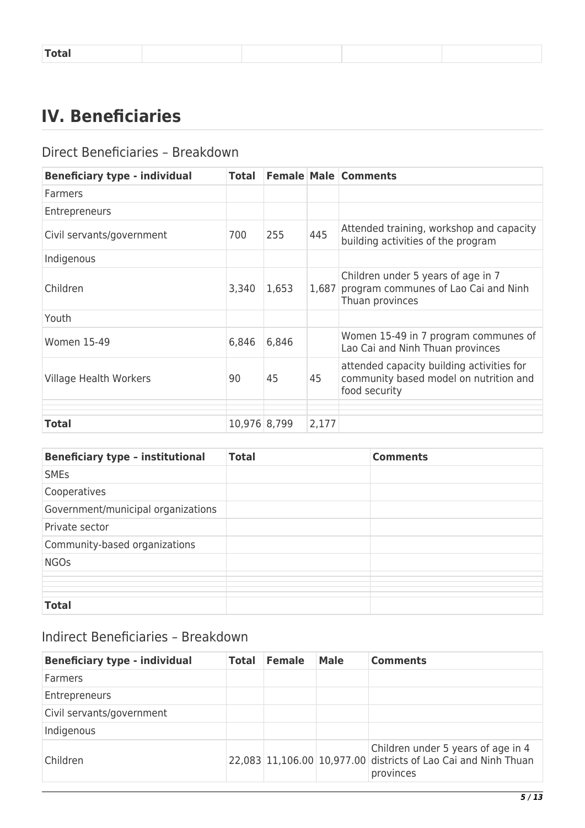|--|

## **IV. Beneficiaries**

### Direct Beneficiaries – Breakdown

| <b>Beneficiary type - individual</b> | Total        |       |       | <b>Female Male Comments</b>                                                                          |
|--------------------------------------|--------------|-------|-------|------------------------------------------------------------------------------------------------------|
| Farmers                              |              |       |       |                                                                                                      |
| <b>Entrepreneurs</b>                 |              |       |       |                                                                                                      |
| Civil servants/government            | 700          | 255   | 445   | Attended training, workshop and capacity<br>building activities of the program                       |
| Indigenous                           |              |       |       |                                                                                                      |
| Children                             | 3,340        | 1,653 | 1,687 | Children under 5 years of age in 7<br>program communes of Lao Cai and Ninh<br>Thuan provinces        |
| Youth                                |              |       |       |                                                                                                      |
| <b>Women 15-49</b>                   | 6,846        | 6,846 |       | Women 15-49 in 7 program communes of<br>Lao Cai and Ninh Thuan provinces                             |
| Village Health Workers               | 90           | 45    | 45    | attended capacity building activities for<br>community based model on nutrition and<br>food security |
|                                      |              |       |       |                                                                                                      |
| <b>Total</b>                         | 10,976 8,799 |       | 2,177 |                                                                                                      |

| <b>Beneficiary type - institutional</b> | <b>Total</b> | <b>Comments</b> |
|-----------------------------------------|--------------|-----------------|
| <b>SMEs</b>                             |              |                 |
| Cooperatives                            |              |                 |
| Government/municipal organizations      |              |                 |
| Private sector                          |              |                 |
| Community-based organizations           |              |                 |
| <b>NGOs</b>                             |              |                 |
|                                         |              |                 |
|                                         |              |                 |
| <b>Total</b>                            |              |                 |

## Indirect Beneficiaries – Breakdown

| <b>Beneficiary type - individual</b> | <b>Total</b> | <b>Female</b> | <b>Male</b> | <b>Comments</b>                                                                                                   |
|--------------------------------------|--------------|---------------|-------------|-------------------------------------------------------------------------------------------------------------------|
| Farmers                              |              |               |             |                                                                                                                   |
| Entrepreneurs                        |              |               |             |                                                                                                                   |
| Civil servants/government            |              |               |             |                                                                                                                   |
| Indigenous                           |              |               |             |                                                                                                                   |
| Children                             |              |               |             | Children under 5 years of age in 4<br>22,083 11,106.00 10,977.00 districts of Lao Cai and Ninh Thuan<br>provinces |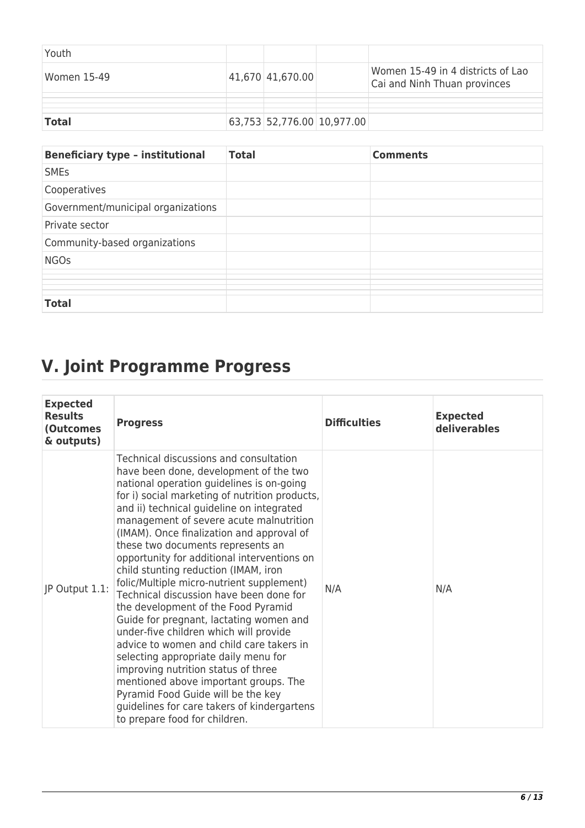| Youth        |                            |                                                                   |
|--------------|----------------------------|-------------------------------------------------------------------|
| Women 15-49  | 41,670 41,670.00           | Women 15-49 in 4 districts of Lao<br>Cai and Ninh Thuan provinces |
|              |                            |                                                                   |
| <b>Total</b> | 63,753 52,776.00 10,977.00 |                                                                   |

| <b>Beneficiary type - institutional</b> | <b>Total</b> | <b>Comments</b> |
|-----------------------------------------|--------------|-----------------|
| <b>SMEs</b>                             |              |                 |
| Cooperatives                            |              |                 |
| Government/municipal organizations      |              |                 |
| Private sector                          |              |                 |
| Community-based organizations           |              |                 |
| <b>NGOs</b>                             |              |                 |
|                                         |              |                 |
|                                         |              |                 |
|                                         |              |                 |
|                                         |              |                 |
| <b>Total</b>                            |              |                 |

# **V. Joint Programme Progress**

| <b>Expected</b><br><b>Results</b><br>(Outcomes<br>& outputs) | <b>Progress</b>                                                                                                                                                                                                                                                                                                                                                                                                                                                                                                                                                                                                                                                                                                                                                                                                                                                                                                                                                | <b>Difficulties</b> | <b>Expected</b><br>deliverables |
|--------------------------------------------------------------|----------------------------------------------------------------------------------------------------------------------------------------------------------------------------------------------------------------------------------------------------------------------------------------------------------------------------------------------------------------------------------------------------------------------------------------------------------------------------------------------------------------------------------------------------------------------------------------------------------------------------------------------------------------------------------------------------------------------------------------------------------------------------------------------------------------------------------------------------------------------------------------------------------------------------------------------------------------|---------------------|---------------------------------|
| JP Output 1.1:                                               | Technical discussions and consultation<br>have been done, development of the two<br>national operation guidelines is on-going<br>for i) social marketing of nutrition products,<br>and ii) technical guideline on integrated<br>management of severe acute malnutrition<br>(IMAM). Once finalization and approval of<br>these two documents represents an<br>opportunity for additional interventions on<br>child stunting reduction (IMAM, iron<br>folic/Multiple micro-nutrient supplement)<br>Technical discussion have been done for<br>the development of the Food Pyramid<br>Guide for pregnant, lactating women and<br>under-five children which will provide<br>advice to women and child care takers in<br>selecting appropriate daily menu for<br>improving nutrition status of three<br>mentioned above important groups. The<br>Pyramid Food Guide will be the key<br>guidelines for care takers of kindergartens<br>to prepare food for children. | N/A                 | N/A                             |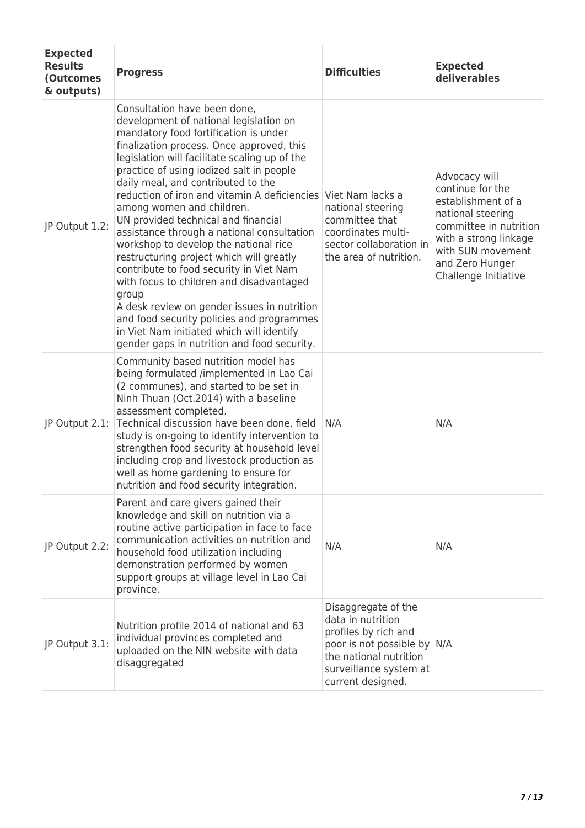| <b>Expected</b><br><b>Results</b><br>(Outcomes<br>& outputs) | <b>Progress</b>                                                                                                                                                                                                                                                                                                                                                                                                                                                                                                                                                                                                                                                                                                                                                                                                                                                 | <b>Difficulties</b>                                                                                                                                                      | <b>Expected</b><br>deliverables                                                                                                                                                                 |
|--------------------------------------------------------------|-----------------------------------------------------------------------------------------------------------------------------------------------------------------------------------------------------------------------------------------------------------------------------------------------------------------------------------------------------------------------------------------------------------------------------------------------------------------------------------------------------------------------------------------------------------------------------------------------------------------------------------------------------------------------------------------------------------------------------------------------------------------------------------------------------------------------------------------------------------------|--------------------------------------------------------------------------------------------------------------------------------------------------------------------------|-------------------------------------------------------------------------------------------------------------------------------------------------------------------------------------------------|
| JP Output 1.2:                                               | Consultation have been done,<br>development of national legislation on<br>mandatory food fortification is under<br>finalization process. Once approved, this<br>legislation will facilitate scaling up of the<br>practice of using iodized salt in people<br>daily meal, and contributed to the<br>reduction of iron and vitamin A deficiencies Viet Nam lacks a<br>among women and children.<br>UN provided technical and financial<br>assistance through a national consultation<br>workshop to develop the national rice<br>restructuring project which will greatly<br>contribute to food security in Viet Nam<br>with focus to children and disadvantaged<br>group<br>A desk review on gender issues in nutrition<br>and food security policies and programmes<br>in Viet Nam initiated which will identify<br>gender gaps in nutrition and food security. | national steering<br>committee that<br>coordinates multi-<br>sector collaboration in<br>the area of nutrition.                                                           | Advocacy will<br>continue for the<br>establishment of a<br>national steering<br>committee in nutrition<br>with a strong linkage<br>with SUN movement<br>and Zero Hunger<br>Challenge Initiative |
| JP Output 2.1:                                               | Community based nutrition model has<br>being formulated /implemented in Lao Cai<br>(2 communes), and started to be set in<br>Ninh Thuan (Oct.2014) with a baseline<br>assessment completed.<br>Technical discussion have been done, field<br>study is on-going to identify intervention to<br>strengthen food security at household level<br>including crop and livestock production as<br>well as home gardening to ensure for<br>nutrition and food security integration.                                                                                                                                                                                                                                                                                                                                                                                     | N/A                                                                                                                                                                      | N/A                                                                                                                                                                                             |
| JP Output 2.2:                                               | Parent and care givers gained their<br>knowledge and skill on nutrition via a<br>routine active participation in face to face<br>communication activities on nutrition and<br>household food utilization including<br>demonstration performed by women<br>support groups at village level in Lao Cai<br>province.                                                                                                                                                                                                                                                                                                                                                                                                                                                                                                                                               | N/A                                                                                                                                                                      | N/A                                                                                                                                                                                             |
| JP Output 3.1:                                               | Nutrition profile 2014 of national and 63<br>individual provinces completed and<br>uploaded on the NIN website with data<br>disaggregated                                                                                                                                                                                                                                                                                                                                                                                                                                                                                                                                                                                                                                                                                                                       | Disaggregate of the<br>data in nutrition<br>profiles by rich and<br>poor is not possible by N/A<br>the national nutrition<br>surveillance system at<br>current designed. |                                                                                                                                                                                                 |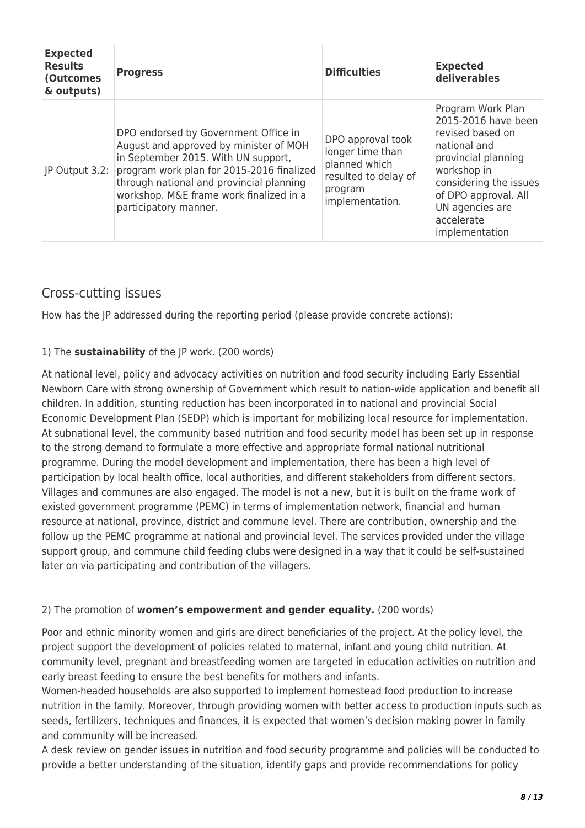| <b>Expected</b><br><b>Results</b><br><b>(Outcomes</b><br>& outputs) | <b>Progress</b>                                                                                                                                                                                                                                                                    | <b>Difficulties</b>                                                                                          | <b>Expected</b><br>deliverables                                                                                                                                                                                         |
|---------------------------------------------------------------------|------------------------------------------------------------------------------------------------------------------------------------------------------------------------------------------------------------------------------------------------------------------------------------|--------------------------------------------------------------------------------------------------------------|-------------------------------------------------------------------------------------------------------------------------------------------------------------------------------------------------------------------------|
| JP Output 3.2:                                                      | DPO endorsed by Government Office in<br>August and approved by minister of MOH<br>in September 2015. With UN support,<br>program work plan for 2015-2016 finalized<br>through national and provincial planning<br>workshop. M&E frame work finalized in a<br>participatory manner. | DPO approval took<br>longer time than<br>planned which<br>resulted to delay of<br>program<br>implementation. | Program Work Plan<br>2015-2016 have been<br>revised based on<br>national and<br>provincial planning<br>workshop in<br>considering the issues<br>of DPO approval. All<br>UN agencies are<br>accelerate<br>implementation |

### Cross-cutting issues

How has the JP addressed during the reporting period (please provide concrete actions):

#### 1) The **sustainability** of the JP work. (200 words)

At national level, policy and advocacy activities on nutrition and food security including Early Essential Newborn Care with strong ownership of Government which result to nation-wide application and benefit all children. In addition, stunting reduction has been incorporated in to national and provincial Social Economic Development Plan (SEDP) which is important for mobilizing local resource for implementation. At subnational level, the community based nutrition and food security model has been set up in response to the strong demand to formulate a more effective and appropriate formal national nutritional programme. During the model development and implementation, there has been a high level of participation by local health office, local authorities, and different stakeholders from different sectors. Villages and communes are also engaged. The model is not a new, but it is built on the frame work of existed government programme (PEMC) in terms of implementation network, financial and human resource at national, province, district and commune level. There are contribution, ownership and the follow up the PEMC programme at national and provincial level. The services provided under the village support group, and commune child feeding clubs were designed in a way that it could be self-sustained later on via participating and contribution of the villagers.

#### 2) The promotion of **women's empowerment and gender equality.** (200 words)

Poor and ethnic minority women and girls are direct beneficiaries of the project. At the policy level, the project support the development of policies related to maternal, infant and young child nutrition. At community level, pregnant and breastfeeding women are targeted in education activities on nutrition and early breast feeding to ensure the best benefits for mothers and infants.

Women-headed households are also supported to implement homestead food production to increase nutrition in the family. Moreover, through providing women with better access to production inputs such as seeds, fertilizers, techniques and finances, it is expected that women's decision making power in family and community will be increased.

A desk review on gender issues in nutrition and food security programme and policies will be conducted to provide a better understanding of the situation, identify gaps and provide recommendations for policy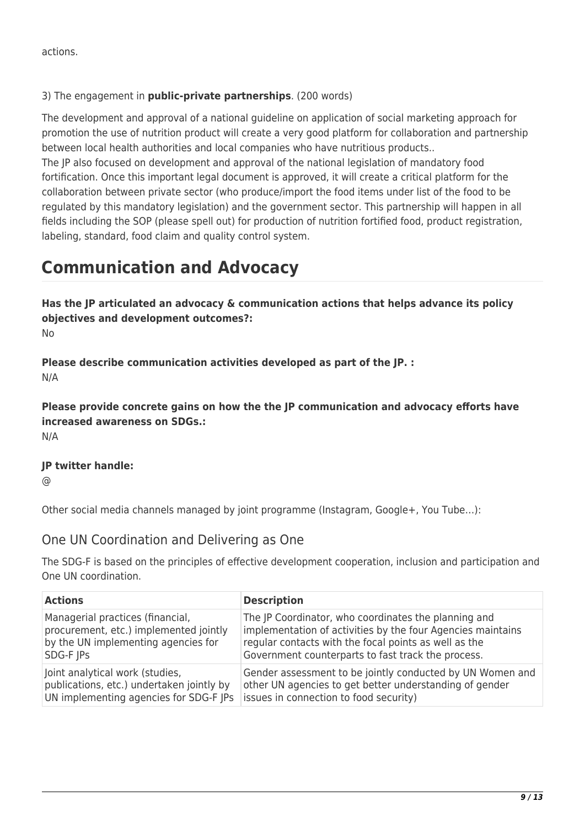actions.

#### 3) The engagement in **public-private partnerships**. (200 words)

The development and approval of a national guideline on application of social marketing approach for promotion the use of nutrition product will create a very good platform for collaboration and partnership between local health authorities and local companies who have nutritious products..

The JP also focused on development and approval of the national legislation of mandatory food fortification. Once this important legal document is approved, it will create a critical platform for the collaboration between private sector (who produce/import the food items under list of the food to be regulated by this mandatory legislation) and the government sector. This partnership will happen in all fields including the SOP (please spell out) for production of nutrition fortified food, product registration, labeling, standard, food claim and quality control system.

## **Communication and Advocacy**

**Has the JP articulated an advocacy & communication actions that helps advance its policy objectives and development outcomes?:** 

No

**Please describe communication activities developed as part of the JP. :**  N/A

**Please provide concrete gains on how the the JP communication and advocacy efforts have increased awareness on SDGs.:**  N/A

#### **JP twitter handle:**

 $\omega$ 

Other social media channels managed by joint programme (Instagram, Google+, You Tube…):

#### One UN Coordination and Delivering as One

The SDG-F is based on the principles of effective development cooperation, inclusion and participation and One UN coordination.

| <b>Actions</b>                            | <b>Description</b>                                          |
|-------------------------------------------|-------------------------------------------------------------|
| Managerial practices (financial,          | The JP Coordinator, who coordinates the planning and        |
| procurement, etc.) implemented jointly    | implementation of activities by the four Agencies maintains |
| by the UN implementing agencies for       | regular contacts with the focal points as well as the       |
| SDG-F JPs                                 | Government counterparts to fast track the process.          |
| Joint analytical work (studies,           | Gender assessment to be jointly conducted by UN Women and   |
| publications, etc.) undertaken jointly by | other UN agencies to get better understanding of gender     |
| UN implementing agencies for SDG-F JPs    | issues in connection to food security)                      |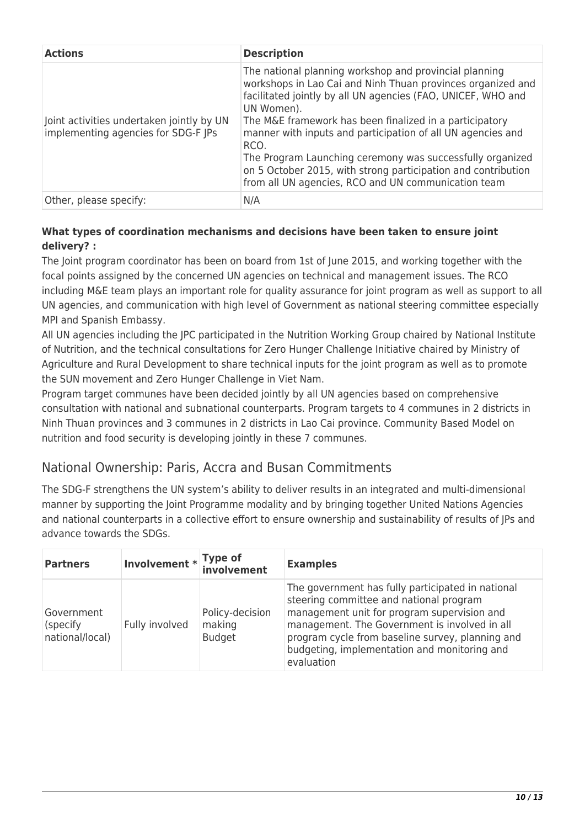| <b>Actions</b>                                                                   | <b>Description</b>                                                                                                                                                                                                                                                                                                                                                                                                                                                                                                         |
|----------------------------------------------------------------------------------|----------------------------------------------------------------------------------------------------------------------------------------------------------------------------------------------------------------------------------------------------------------------------------------------------------------------------------------------------------------------------------------------------------------------------------------------------------------------------------------------------------------------------|
| Joint activities undertaken jointly by UN<br>implementing agencies for SDG-F JPs | The national planning workshop and provincial planning<br>workshops in Lao Cai and Ninh Thuan provinces organized and<br>facilitated jointly by all UN agencies (FAO, UNICEF, WHO and<br>UN Women).<br>The M&E framework has been finalized in a participatory<br>manner with inputs and participation of all UN agencies and<br>RCO.<br>The Program Launching ceremony was successfully organized<br>on 5 October 2015, with strong participation and contribution<br>from all UN agencies, RCO and UN communication team |
| Other, please specify:                                                           | N/A                                                                                                                                                                                                                                                                                                                                                                                                                                                                                                                        |

#### **What types of coordination mechanisms and decisions have been taken to ensure joint delivery? :**

The Joint program coordinator has been on board from 1st of June 2015, and working together with the focal points assigned by the concerned UN agencies on technical and management issues. The RCO including M&E team plays an important role for quality assurance for joint program as well as support to all UN agencies, and communication with high level of Government as national steering committee especially MPI and Spanish Embassy.

All UN agencies including the JPC participated in the Nutrition Working Group chaired by National Institute of Nutrition, and the technical consultations for Zero Hunger Challenge Initiative chaired by Ministry of Agriculture and Rural Development to share technical inputs for the joint program as well as to promote the SUN movement and Zero Hunger Challenge in Viet Nam.

Program target communes have been decided jointly by all UN agencies based on comprehensive consultation with national and subnational counterparts. Program targets to 4 communes in 2 districts in Ninh Thuan provinces and 3 communes in 2 districts in Lao Cai province. Community Based Model on nutrition and food security is developing jointly in these 7 communes.

### National Ownership: Paris, Accra and Busan Commitments

The SDG-F strengthens the UN system's ability to deliver results in an integrated and multi-dimensional manner by supporting the Joint Programme modality and by bringing together United Nations Agencies and national counterparts in a collective effort to ensure ownership and sustainability of results of JPs and advance towards the SDGs.

| <b>Partners</b>                           | Involvement * Type of<br>involvement |                                            | <b>Examples</b>                                                                                                                                                                                                                                                                                                |
|-------------------------------------------|--------------------------------------|--------------------------------------------|----------------------------------------------------------------------------------------------------------------------------------------------------------------------------------------------------------------------------------------------------------------------------------------------------------------|
| Government<br>(specify<br>national/local) | Fully involved                       | Policy-decision<br>making<br><b>Budget</b> | The government has fully participated in national<br>steering committee and national program<br>management unit for program supervision and<br>management. The Government is involved in all<br>program cycle from baseline survey, planning and<br>budgeting, implementation and monitoring and<br>evaluation |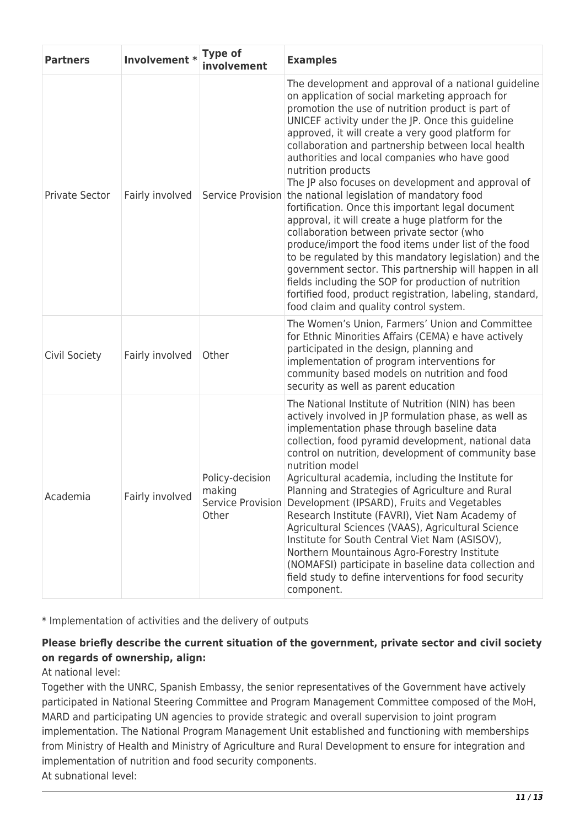| <b>Partners</b>       | Involvement *   | <b>Type of</b><br>involvement                           | <b>Examples</b>                                                                                                                                                                                                                                                                                                                                                                                                                                                                                                                                                                                                                                                                                                                                                                                                                                                                                                                                                                                          |
|-----------------------|-----------------|---------------------------------------------------------|----------------------------------------------------------------------------------------------------------------------------------------------------------------------------------------------------------------------------------------------------------------------------------------------------------------------------------------------------------------------------------------------------------------------------------------------------------------------------------------------------------------------------------------------------------------------------------------------------------------------------------------------------------------------------------------------------------------------------------------------------------------------------------------------------------------------------------------------------------------------------------------------------------------------------------------------------------------------------------------------------------|
| <b>Private Sector</b> | Fairly involved | Service Provision                                       | The development and approval of a national guideline<br>on application of social marketing approach for<br>promotion the use of nutrition product is part of<br>UNICEF activity under the JP. Once this guideline<br>approved, it will create a very good platform for<br>collaboration and partnership between local health<br>authorities and local companies who have good<br>nutrition products<br>The JP also focuses on development and approval of<br>the national legislation of mandatory food<br>fortification. Once this important legal document<br>approval, it will create a huge platform for the<br>collaboration between private sector (who<br>produce/import the food items under list of the food<br>to be regulated by this mandatory legislation) and the<br>government sector. This partnership will happen in all<br>fields including the SOP for production of nutrition<br>fortified food, product registration, labeling, standard,<br>food claim and quality control system. |
| Civil Society         | Fairly involved | Other                                                   | The Women's Union, Farmers' Union and Committee<br>for Ethnic Minorities Affairs (CEMA) e have actively<br>participated in the design, planning and<br>implementation of program interventions for<br>community based models on nutrition and food<br>security as well as parent education                                                                                                                                                                                                                                                                                                                                                                                                                                                                                                                                                                                                                                                                                                               |
| Academia              | Fairly involved | Policy-decision<br>making<br>Service Provision<br>Other | The National Institute of Nutrition (NIN) has been<br>actively involved in JP formulation phase, as well as<br>implementation phase through baseline data<br>collection, food pyramid development, national data<br>control on nutrition, development of community base<br>nutrition model<br>Agricultural academia, including the Institute for<br>Planning and Strategies of Agriculture and Rural<br>Development (IPSARD), Fruits and Vegetables<br>Research Institute (FAVRI), Viet Nam Academy of<br>Agricultural Sciences (VAAS), Agricultural Science<br>Institute for South Central Viet Nam (ASISOV),<br>Northern Mountainous Agro-Forestry Institute<br>(NOMAFSI) participate in baseline data collection and<br>field study to define interventions for food security<br>component.                                                                                                                                                                                                           |

\* Implementation of activities and the delivery of outputs

#### **Please briefly describe the current situation of the government, private sector and civil society on regards of ownership, align:**

At national level:

Together with the UNRC, Spanish Embassy, the senior representatives of the Government have actively participated in National Steering Committee and Program Management Committee composed of the MoH, MARD and participating UN agencies to provide strategic and overall supervision to joint program implementation. The National Program Management Unit established and functioning with memberships from Ministry of Health and Ministry of Agriculture and Rural Development to ensure for integration and implementation of nutrition and food security components. At subnational level: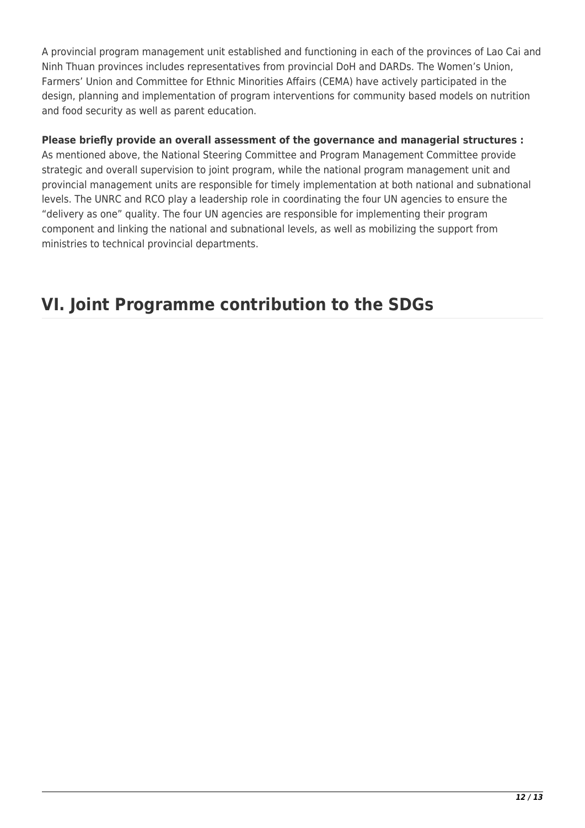A provincial program management unit established and functioning in each of the provinces of Lao Cai and Ninh Thuan provinces includes representatives from provincial DoH and DARDs. The Women's Union, Farmers' Union and Committee for Ethnic Minorities Affairs (CEMA) have actively participated in the design, planning and implementation of program interventions for community based models on nutrition and food security as well as parent education.

#### **Please briefly provide an overall assessment of the governance and managerial structures :**

As mentioned above, the National Steering Committee and Program Management Committee provide strategic and overall supervision to joint program, while the national program management unit and provincial management units are responsible for timely implementation at both national and subnational levels. The UNRC and RCO play a leadership role in coordinating the four UN agencies to ensure the "delivery as one" quality. The four UN agencies are responsible for implementing their program component and linking the national and subnational levels, as well as mobilizing the support from ministries to technical provincial departments.

## **VI. Joint Programme contribution to the SDGs**